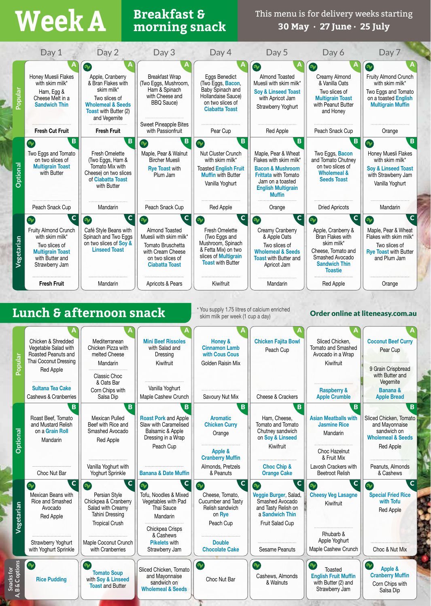# **Breakfast & Week A morning snack**

This menu is for delivery weeks starting **30 May · 27 June · 25 July**

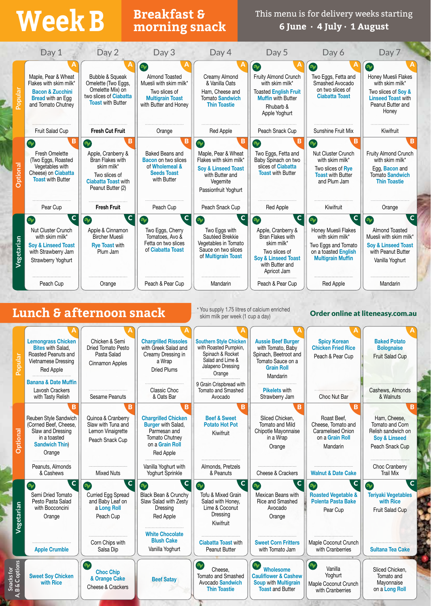## **Breakfast & Week B morning snack**

This menu is for delivery weeks starting **6 June · 4 July · 1 August**

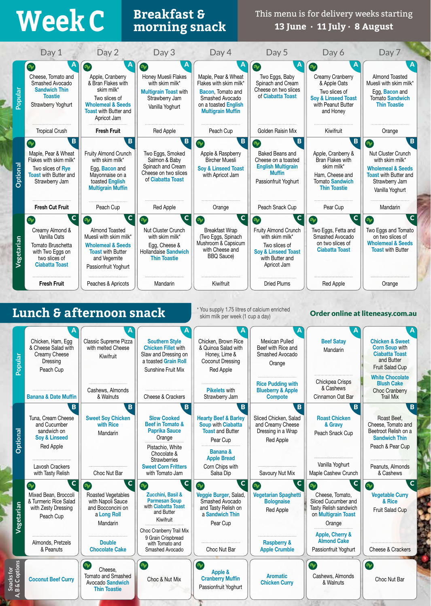## **Breakfast & Week C morning snack**

This menu is for delivery weeks starting **13 June · 11 July · 8 August**

|                                    | Day 1                                                                                                                                              | Day 2                                                                                                                                                                  | Day 3                                                                                                                                                                                                           | Day 4                                                                                                                                            | Day 5                                                                                                                                         | Day 6                                                                                                                                                                                        | Day 7                                                                                                                                                        |
|------------------------------------|----------------------------------------------------------------------------------------------------------------------------------------------------|------------------------------------------------------------------------------------------------------------------------------------------------------------------------|-----------------------------------------------------------------------------------------------------------------------------------------------------------------------------------------------------------------|--------------------------------------------------------------------------------------------------------------------------------------------------|-----------------------------------------------------------------------------------------------------------------------------------------------|----------------------------------------------------------------------------------------------------------------------------------------------------------------------------------------------|--------------------------------------------------------------------------------------------------------------------------------------------------------------|
| Popular                            | $\mathbf{v}$<br>Cheese, Tomato and<br>Smashed Avocado<br><b>Sandwich Thin</b><br><b>Toastie</b><br>Strawberry Yoghurt                              | $\mathbf{v}$<br>Apple, Cranberry<br>& Bran Flakes with<br>skim milk*<br>Two slices of<br><b>Wholemeal &amp; Seeds</b><br><b>Toast with Butter and</b><br>Apricot Jam   | $\gamma$<br>Honey Muesli Flakes<br>with skim milk*<br><b>Multigrain Toast with</b><br>Strawberry Jam<br>Vanilla Yoghurt                                                                                         | Maple, Pear & Wheat<br>Flakes with skim milk*<br>Bacon, Tomato and<br>Smashed Avocado<br>on a toasted English<br><b>Multigrain Muffin</b>        | V<br>Two Eggs, Baby<br>Spinach and Cream<br>Cheese on two slices<br>of Ciabatta Toast                                                         | $\bullet$<br>Creamy Cranberry<br>& Apple Oats<br>Two slices of<br><b>Soy &amp; Linseed Toast</b><br>with Peanut Butter<br>and Honey                                                          | Almond Toasted<br>Muesli with skim milk*<br>Egg, Bacon and<br><b>Tomato Sandwich</b><br><b>Thin Toastie</b>                                                  |
|                                    | <b>Tropical Crush</b>                                                                                                                              | <b>Fresh Fruit</b>                                                                                                                                                     | Red Apple                                                                                                                                                                                                       | Peach Cup                                                                                                                                        | Golden Raisin Mix                                                                                                                             | Kiwifruit                                                                                                                                                                                    | Orange                                                                                                                                                       |
| <b>Optional</b>                    | $\overline{B}$<br>$\gamma$<br>Maple, Pear & Wheat<br>Flakes with skim milk*<br>Two slices of Rye<br><b>Toast with Butter and</b><br>Strawberry Jam | B<br>Fruity Almond Crunch<br>with skim milk*<br>Egg, Bacon and<br>Mayonnaise on a<br>toasted English<br><b>Multigrain Muffin</b>                                       | B<br>Two Eggs, Smoked<br>Salmon & Baby<br>Spinach and Cream<br>Cheese on two slices<br>of Ciabatta Toast                                                                                                        | $\overline{B}$<br>$\gamma$<br>Apple & Raspberry<br><b>Bircher Muesli</b><br><b>Soy &amp; Linseed Toast</b><br>with Apricot Jam                   | B<br>$\infty$<br>Baked Beans and<br>Cheese on a toasted<br><b>English Multigrain</b><br><b>Muffin</b><br>Passionfruit Yoghurt                 | B<br>Apple, Cranberry &<br>Bran Flakes with<br>skim milk*<br>Ham, Cheese and<br><b>Tomato Sandwich</b><br><b>Thin Toastie</b>                                                                | B<br>$\bullet$<br>Nut Cluster Crunch<br>with skim milk*<br><b>Wholemeal &amp; Seeds</b><br><b>Toast with Butter and</b><br>Strawberry Jam<br>Vanilla Yoghurt |
|                                    | <b>Fresh Cut Fruit</b>                                                                                                                             | Peach Cup                                                                                                                                                              | <b>Red Apple</b>                                                                                                                                                                                                | Orange                                                                                                                                           | Peach Snack Cup                                                                                                                               | Pear Cup                                                                                                                                                                                     | Mandarin                                                                                                                                                     |
| Vegetarian                         | C<br>Creamy Almond &<br>Vanilla Oats<br>Tomato Bruschetta<br>with Two Eggs on<br>two slices of<br><b>Ciabatta Toast</b>                            | c <br>$\bullet$<br><b>Almond Toasted</b><br>Muesli with skim milk*<br><b>Wholemeal &amp; Seeds</b><br><b>Toast with Butter</b><br>and Vegemite<br>Passionfruit Yoghurt | $\mathbf{C}$<br>$\infty$<br>Nut Cluster Crunch<br>with skim milk*<br>Egg, Cheese &<br>Hollandaise Sandwich<br><b>Thin Toastie</b>                                                                               | $\mathbf{C}$<br>$\bullet$<br><b>Breakfast Wrap</b><br>(Two Eggs, Spinach<br>Mushroom & Capsicum<br>with Cheese and<br><b>BBQ</b> Sauce)          | C<br>V<br>Fruity Almond Crunch<br>with skim milk*<br>Two slices of<br><b>Soy &amp; Linseed Toast</b><br>with Butter and<br>Apricot Jam        | $\mathbf c$<br>$\infty$<br>Two Eggs, Fetta and<br>Smashed Avocado<br>on two slices of<br><b>Ciabatta Toast</b>                                                                               | C<br>$\gamma$<br>Two Eggs and Tomato<br>on two slices of<br><b>Wholemeal &amp; Seeds</b><br><b>Toast with Butter</b>                                         |
|                                    | <b>Fresh Fruit</b>                                                                                                                                 | Peaches & Apricots                                                                                                                                                     | Mandarin                                                                                                                                                                                                        | Kiwifruit                                                                                                                                        | <b>Dried Plums</b>                                                                                                                            | <b>Red Apple</b>                                                                                                                                                                             | Orange                                                                                                                                                       |
| pular<br><u>آج</u>                 | Chicken, Ham, Egg<br>& Cheese Salad with<br>Creamy Cheese<br>Dressing<br>Peach Cup                                                                 | Lunch & afternoon snack<br>Classic Supreme Pizza<br>with melted Cheese<br>Kiwifruit                                                                                    | A<br><b>Southern Style</b><br><b>Chicken Fillet with</b><br>Slaw and Dressing on<br>a toasted Grain Roll<br>Sunshine Fruit Mix                                                                                  | skim milk per week (1 cup a day)<br>Chicken, Brown Rice<br>& Quinoa Salad with<br>Honey, Lime &<br>Coconut Dressing<br><b>Red Apple</b>          | A<br><b>Mexican Pulled</b><br>Beef with Rice and<br>Smashed Avocado<br>Orange                                                                 | <b>Beef Satay</b><br>Mandarin                                                                                                                                                                | Order online at liteneasy.com.au<br><b>Chicken &amp; Sweet</b><br><b>Corn Soup with</b><br><b>Ciabatta Toast</b><br>and Butter<br>Fruit Salad Cup            |
|                                    | <b>Banana &amp; Date Muffin</b><br>$\overline{B}$                                                                                                  | Cashews, Almonds<br>& Walnuts<br>$\mathbf{B}$                                                                                                                          | Cheese & Crackers<br>$\overline{B}$                                                                                                                                                                             | <b>Pikelets with</b><br>Strawberry Jam<br>$\overline{B}$                                                                                         | <b>Rice Pudding with</b><br><b>Blueberry &amp; Apple</b><br><b>Compote</b><br>$\overline{B}$                                                  | Chickpea Crisps<br>& Cashews<br>Cinnamon Oat Bar<br>B                                                                                                                                        | <b>White Chocolate</b><br><b>Blush Cake</b><br><b>Choc Cranberry</b><br><b>Trail Mix</b><br>$\overline{B}$                                                   |
| <b>Optional</b>                    | Tuna, Cream Cheese<br>and Cucumber<br>sandwich on<br><b>Soy &amp; Linseed</b><br><b>Red Apple</b>                                                  | <b>Sweet Soy Chicken</b><br>with Rice<br>Mandarin                                                                                                                      | <b>Slow Cooked</b><br><b>Beef in Tomato &amp;</b><br><b>Paprika Sauce</b><br>Orange<br>Pistachio, White<br>Chocolate &<br><b>Strawberries</b>                                                                   | <b>Hearty Beef &amp; Barley</b><br><b>Soup with Ciabatta</b><br><b>Toast and Butter</b><br>Pear Cup<br><b>Banana &amp;</b><br><b>Apple Bread</b> | Sliced Chicken, Salad<br>and Creamy Cheese<br>Dressing in a Wrap<br>Red Apple                                                                 | <b>Roast Chicken</b><br>& Gravy<br>Peach Snack Cup<br>Vanilla Yoghurt                                                                                                                        | Roast Beef.<br>Cheese, Tomato and<br>Beetroot Relish on a<br><b>Sandwich Thin</b><br>Peach & Pear Cup                                                        |
|                                    | Lavosh Crackers<br>with Tasty Relish                                                                                                               | Choc Nut Bar                                                                                                                                                           | <b>Sweet Corn Fritters</b><br>with Tomato Jam                                                                                                                                                                   | Corn Chips with<br>Salsa Dip                                                                                                                     | Savoury Nut Mix                                                                                                                               | Maple Cashew Crunch                                                                                                                                                                          | Peanuts, Almonds<br>& Cashews                                                                                                                                |
| Vegetarian                         | $\mathbf C$<br>จ∕<br>Mixed Bean, Broccoli<br>& Turmeric Rice Salad<br>with Zesty Dressing<br>Peach Cup<br>Almonds, Pretzels<br>& Peanuts           | $ {\bf C} $<br><b>Sy</b><br>Roasted Vegetables<br>with Napoli Sauce<br>and Bocconcini on<br>a Long Roll<br>Mandarin<br><b>Double</b><br><b>Chocolate Cake</b>          | $\mathbf C$<br>$\bullet$<br>Zucchini, Basil &<br><b>Parmesan Soup</b><br>with Ciabatta Toast<br>and Butter<br>Kiwifruit<br>Choc Cranberry Trail Mix<br>9 Grain Crispbread<br>with Tomato and<br>Smashed Avocado | $\mathbf{C}$<br>$\gamma$<br>Veggie Burger, Salad,<br>Smashed Avocado<br>and Tasty Relish on<br>a Sandwich Thin<br>Pear Cup<br>Choc Nut Bar       | $\overline{c}$<br>$\gamma$<br><b>Vegetarian Spaghetti</b><br><b>Bolognaise</b><br>Red Apple<br><b>Raspberry &amp;</b><br><b>Apple Crumble</b> | $\mathbf c$<br>$\infty$<br>Cheese, Tomato,<br>Sliced Cucumber and<br>Tasty Relish sandwich<br>on Multigrain Toast<br>Orange<br>Apple, Cherry &<br><b>Almond Cake</b><br>Passionfruit Yoghurt | $\mathbf{C}$<br>$\mathbf{v}$<br><b>Vegetable Curry</b><br>& Rice<br>Fruit Salad Cup<br>Cheese & Crackers                                                     |
| Snacks for<br>, B & C options<br>خ | <b>Coconut Beef Curry</b>                                                                                                                          | V<br>Cheese,<br>Tomato and Smashed<br><b>Avocado Sandwich</b><br><b>Thin Toastie</b>                                                                                   | $\gamma$<br>Choc & Nut Mix                                                                                                                                                                                      | $\mathbf{v}$<br>Apple &<br><b>Cranberry Muffin</b><br>Passionfruit Yoghurt                                                                       | <b>Aromatic</b><br><b>Chicken Curry</b>                                                                                                       | $\sim$<br>Cashews, Almonds<br>& Walnuts                                                                                                                                                      | $\infty$<br>Choc Nut Bar                                                                                                                                     |